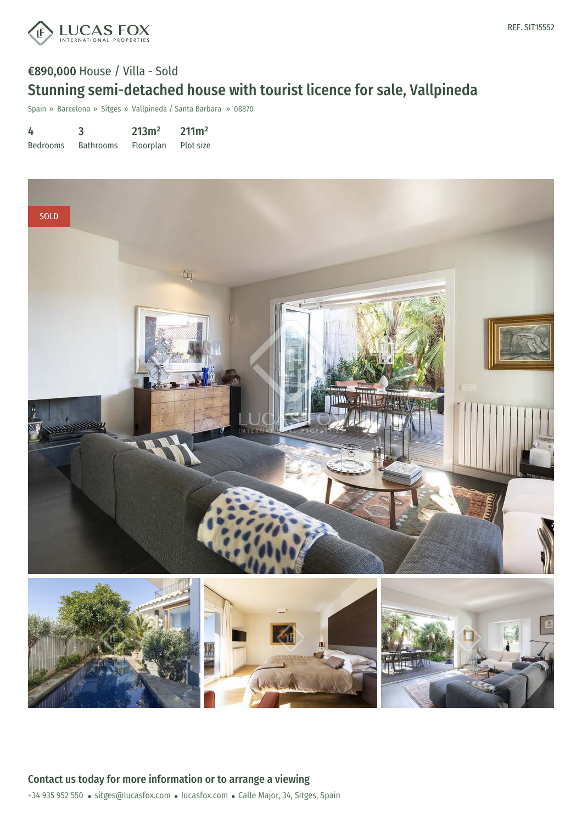

# €890,000 House / Villa - Sold Stunning semi-detached house with tourist licence for sale, Vallpineda

Spain » Barcelona » Sitges » Vallpineda / Santa Barbara » 08870

| 4               | 3                | 213m <sup>2</sup> | 211m <sup>2</sup> |
|-----------------|------------------|-------------------|-------------------|
| <b>Bedrooms</b> | <b>Bathrooms</b> | Floorplan         | Plot size         |

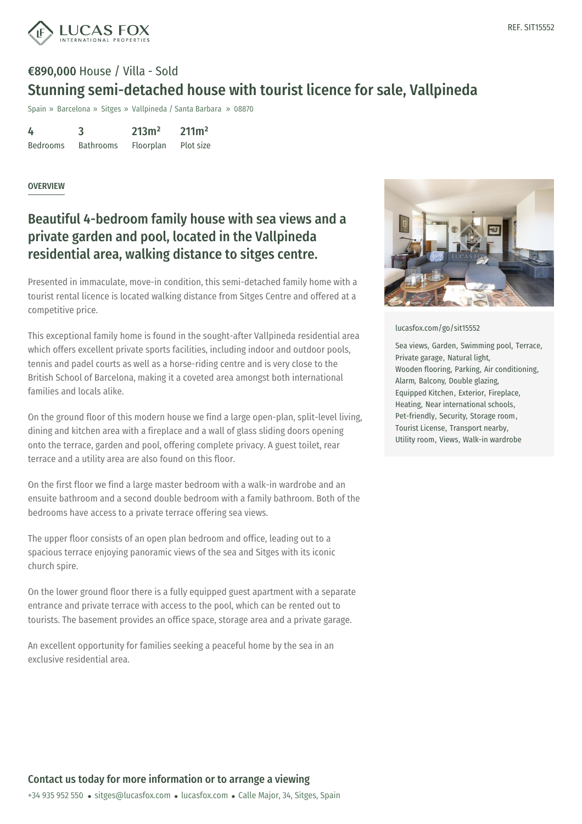

# €890,000 House / Villa - Sold Stunning semi-detached house with tourist licence for sale, Vallpineda

Spain » Barcelona » Sitges » Vallpineda / Santa Barbara » 08870

| 4               | 3                | 213m <sup>2</sup> | 211m <sup>2</sup> |
|-----------------|------------------|-------------------|-------------------|
| <b>Bedrooms</b> | <b>Bathrooms</b> | Floorplan         | Plot size         |

### **OVERVIEW**

## Beautiful 4-bedroom family house with sea views and a private garden and pool, located in the Vallpineda residential area, walking distance to sitges centre.

Presented in immaculate, move-in condition, this semi-detached family home with a tourist rental licence is located walking distance from Sitges Centre and offered at a competitive price.

This exceptional family home is found in the sought-after Vallpineda residential area which offers excellent private sports facilities, including indoor and outdoor pools, tennis and padel courts as well as a horse-riding centre and is very close to the British School of Barcelona, making it a coveted area amongst both international families and locals alike.

On the ground floor of this modern house we find a large open-plan, split-level living, dining and kitchen area with a fireplace and a wall of glass sliding doors opening onto the terrace, garden and pool, offering complete privacy. A guest toilet, rear terrace and a utility area are also found on this floor.

On the first floor we find a large master bedroom with a walk-in wardrobe and an ensuite bathroom and a second double bedroom with a family bathroom. Both of the bedrooms have access to a private terrace offering sea views.

The upper floor consists of an open plan bedroom and office, leading out to a spacious terrace enjoying panoramic views of the sea and Sitges with its iconic church spire.

On the lower ground floor there is a fully equipped guest apartment with a separate entrance and private terrace with access to the pool, which can be rented out to tourists. The basement [provides](mailto:sitges@lucasfox.com) an office [space,](https://www.lucasfox.com) storage area and a private garage.

An excellent opportunity for families seeking a peaceful home by the sea in an exclusive residential area.



#### [lucasfox.com/go/sit15552](https://www.lucasfox.com/go/sit15552)

Sea views, Garden, Swimming pool, Terrace, Private garage, Natural light, Wooden flooring, Parking, Air conditioning, Alarm, Balcony, Double glazing, Equipped Kitchen, Exterior, Fireplace, Heating, Near international schools, Pet-friendly, Security, Storage room, Tourist License, Transport nearby, Utility room, Views, Walk-in wardrobe